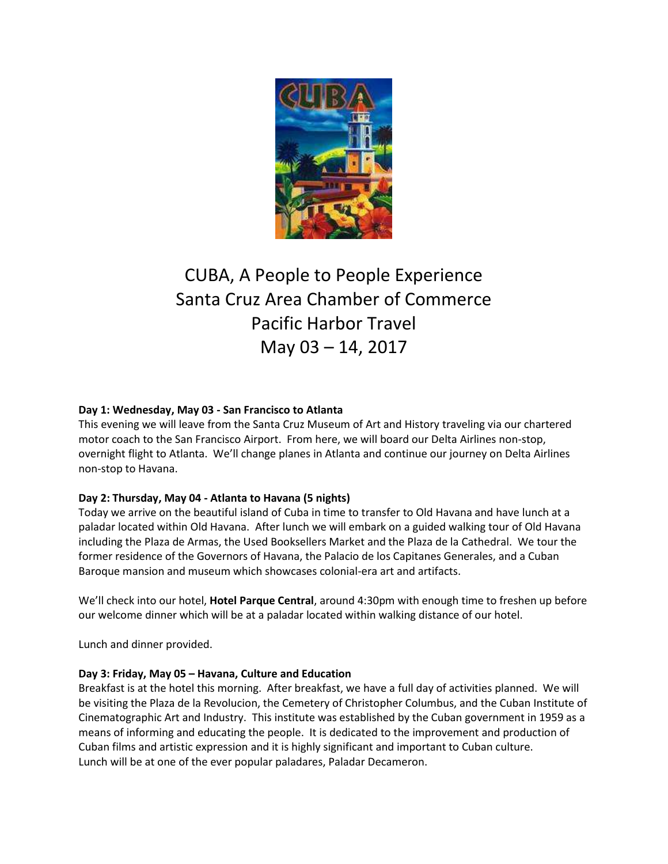

# CUBA, A People to People Experience Santa Cruz Area Chamber of Commerce Pacific Harbor Travel May 03 – 14, 2017

# **Day 1: Wednesday, May 03 - San Francisco to Atlanta**

This evening we will leave from the Santa Cruz Museum of Art and History traveling via our chartered motor coach to the San Francisco Airport. From here, we will board our Delta Airlines non-stop, overnight flight to Atlanta. We'll change planes in Atlanta and continue our journey on Delta Airlines non-stop to Havana.

## **Day 2: Thursday, May 04 - Atlanta to Havana (5 nights)**

Today we arrive on the beautiful island of Cuba in time to transfer to Old Havana and have lunch at a paladar located within Old Havana. After lunch we will embark on a guided walking tour of Old Havana including the Plaza de Armas, the Used Booksellers Market and the Plaza de la Cathedral. We tour the former residence of the Governors of Havana, the Palacio de los Capitanes Generales, and a Cuban Baroque mansion and museum which showcases colonial-era art and artifacts.

We'll check into our hotel, **Hotel Parque Central**, around 4:30pm with enough time to freshen up before our welcome dinner which will be at a paladar located within walking distance of our hotel.

Lunch and dinner provided.

## **Day 3: Friday, May 05 – Havana, Culture and Education**

Breakfast is at the hotel this morning. After breakfast, we have a full day of activities planned. We will be visiting the Plaza de la Revolucion, the Cemetery of Christopher Columbus, and the Cuban Institute of Cinematographic Art and Industry. This institute was established by the Cuban government in 1959 as a means of informing and educating the people. It is dedicated to the improvement and production of Cuban films and artistic expression and it is highly significant and important to Cuban culture. Lunch will be at one of the ever popular paladares, Paladar Decameron.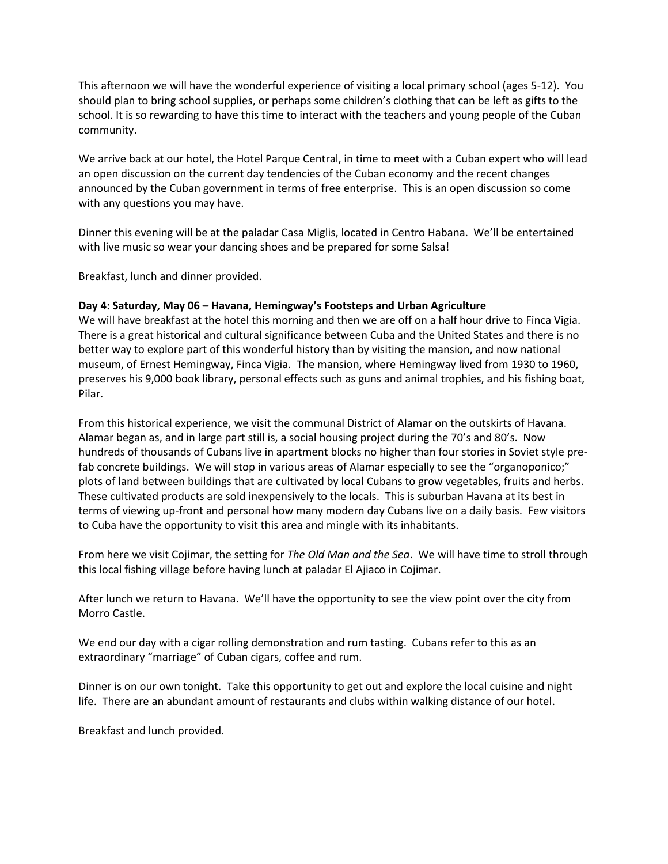This afternoon we will have the wonderful experience of visiting a local primary school (ages 5-12). You should plan to bring school supplies, or perhaps some children's clothing that can be left as gifts to the school. It is so rewarding to have this time to interact with the teachers and young people of the Cuban community.

We arrive back at our hotel, the Hotel Parque Central, in time to meet with a Cuban expert who will lead an open discussion on the current day tendencies of the Cuban economy and the recent changes announced by the Cuban government in terms of free enterprise. This is an open discussion so come with any questions you may have.

Dinner this evening will be at the paladar Casa Miglis, located in Centro Habana. We'll be entertained with live music so wear your dancing shoes and be prepared for some Salsa!

Breakfast, lunch and dinner provided.

#### **Day 4: Saturday, May 06 – Havana, Hemingway's Footsteps and Urban Agriculture**

We will have breakfast at the hotel this morning and then we are off on a half hour drive to Finca Vigia. There is a great historical and cultural significance between Cuba and the United States and there is no better way to explore part of this wonderful history than by visiting the mansion, and now national museum, of Ernest Hemingway, Finca Vigia. The mansion, where Hemingway lived from 1930 to 1960, preserves his 9,000 book library, personal effects such as guns and animal trophies, and his fishing boat, Pilar.

From this historical experience, we visit the communal District of Alamar on the outskirts of Havana. Alamar began as, and in large part still is, a social housing project during the 70's and 80's. Now hundreds of thousands of Cubans live in apartment blocks no higher than four stories in Soviet style prefab concrete buildings. We will stop in various areas of Alamar especially to see the "organoponico;" plots of land between buildings that are cultivated by local Cubans to grow vegetables, fruits and herbs. These cultivated products are sold inexpensively to the locals. This is suburban Havana at its best in terms of viewing up-front and personal how many modern day Cubans live on a daily basis. Few visitors to Cuba have the opportunity to visit this area and mingle with its inhabitants.

From here we visit Cojimar, the setting for *The Old Man and the Sea*. We will have time to stroll through this local fishing village before having lunch at paladar El Ajiaco in Cojimar.

After lunch we return to Havana. We'll have the opportunity to see the view point over the city from Morro Castle.

We end our day with a cigar rolling demonstration and rum tasting. Cubans refer to this as an extraordinary "marriage" of Cuban cigars, coffee and rum.

Dinner is on our own tonight. Take this opportunity to get out and explore the local cuisine and night life. There are an abundant amount of restaurants and clubs within walking distance of our hotel.

Breakfast and lunch provided.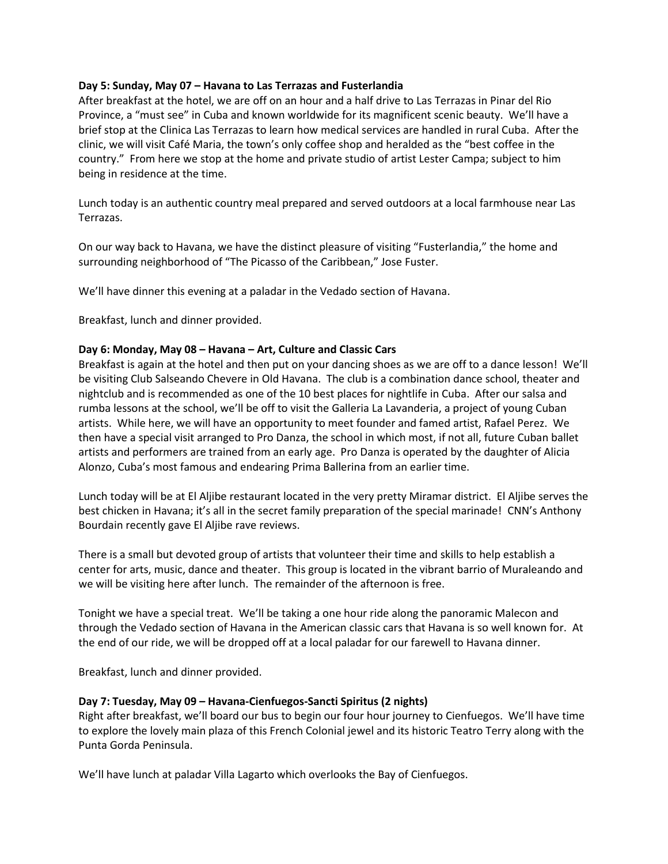## **Day 5: Sunday, May 07 – Havana to Las Terrazas and Fusterlandia**

After breakfast at the hotel, we are off on an hour and a half drive to Las Terrazas in Pinar del Rio Province, a "must see" in Cuba and known worldwide for its magnificent scenic beauty. We'll have a brief stop at the Clinica Las Terrazas to learn how medical services are handled in rural Cuba. After the clinic, we will visit Café Maria, the town's only coffee shop and heralded as the "best coffee in the country." From here we stop at the home and private studio of artist Lester Campa; subject to him being in residence at the time.

Lunch today is an authentic country meal prepared and served outdoors at a local farmhouse near Las Terrazas.

On our way back to Havana, we have the distinct pleasure of visiting "Fusterlandia," the home and surrounding neighborhood of "The Picasso of the Caribbean," Jose Fuster.

We'll have dinner this evening at a paladar in the Vedado section of Havana.

Breakfast, lunch and dinner provided.

#### **Day 6: Monday, May 08 – Havana – Art, Culture and Classic Cars**

Breakfast is again at the hotel and then put on your dancing shoes as we are off to a dance lesson! We'll be visiting Club Salseando Chevere in Old Havana. The club is a combination dance school, theater and nightclub and is recommended as one of the 10 best places for nightlife in Cuba. After our salsa and rumba lessons at the school, we'll be off to visit the Galleria La Lavanderia, a project of young Cuban artists. While here, we will have an opportunity to meet founder and famed artist, Rafael Perez. We then have a special visit arranged to Pro Danza, the school in which most, if not all, future Cuban ballet artists and performers are trained from an early age. Pro Danza is operated by the daughter of Alicia Alonzo, Cuba's most famous and endearing Prima Ballerina from an earlier time.

Lunch today will be at El Aljibe restaurant located in the very pretty Miramar district. El Aljibe serves the best chicken in Havana; it's all in the secret family preparation of the special marinade! CNN's Anthony Bourdain recently gave El Aljibe rave reviews.

There is a small but devoted group of artists that volunteer their time and skills to help establish a center for arts, music, dance and theater. This group is located in the vibrant barrio of Muraleando and we will be visiting here after lunch. The remainder of the afternoon is free.

Tonight we have a special treat. We'll be taking a one hour ride along the panoramic Malecon and through the Vedado section of Havana in the American classic cars that Havana is so well known for. At the end of our ride, we will be dropped off at a local paladar for our farewell to Havana dinner.

Breakfast, lunch and dinner provided.

## **Day 7: Tuesday, May 09 – Havana-Cienfuegos-Sancti Spiritus (2 nights)**

Right after breakfast, we'll board our bus to begin our four hour journey to Cienfuegos. We'll have time to explore the lovely main plaza of this French Colonial jewel and its historic Teatro Terry along with the Punta Gorda Peninsula.

We'll have lunch at paladar Villa Lagarto which overlooks the Bay of Cienfuegos.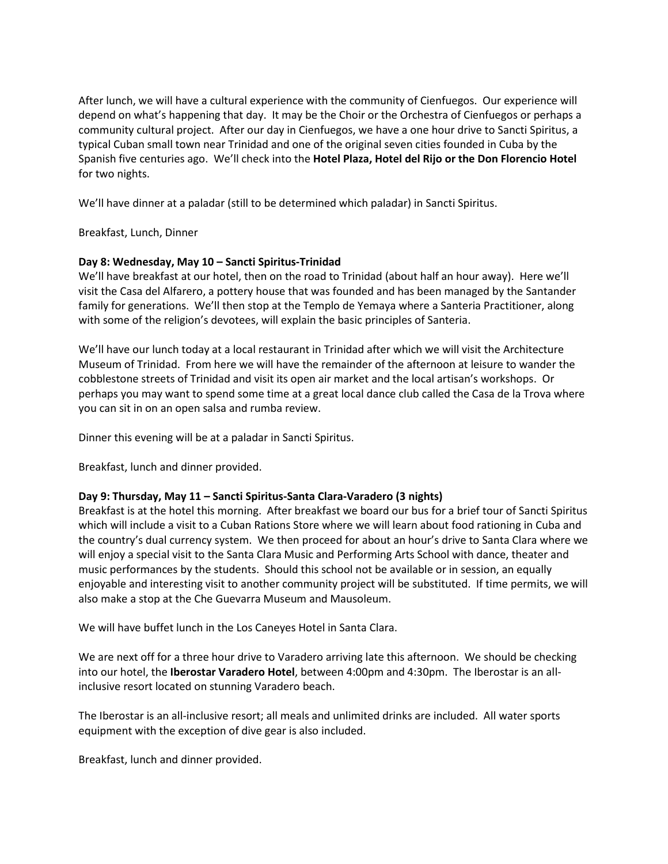After lunch, we will have a cultural experience with the community of Cienfuegos. Our experience will depend on what's happening that day. It may be the Choir or the Orchestra of Cienfuegos or perhaps a community cultural project. After our day in Cienfuegos, we have a one hour drive to Sancti Spiritus, a typical Cuban small town near Trinidad and one of the original seven cities founded in Cuba by the Spanish five centuries ago. We'll check into the **Hotel Plaza, Hotel del Rijo or the Don Florencio Hotel** for two nights.

We'll have dinner at a paladar (still to be determined which paladar) in Sancti Spiritus.

Breakfast, Lunch, Dinner

# **Day 8: Wednesday, May 10 – Sancti Spiritus-Trinidad**

We'll have breakfast at our hotel, then on the road to Trinidad (about half an hour away). Here we'll visit the Casa del Alfarero, a pottery house that was founded and has been managed by the Santander family for generations. We'll then stop at the Templo de Yemaya where a Santeria Practitioner, along with some of the religion's devotees, will explain the basic principles of Santeria.

We'll have our lunch today at a local restaurant in Trinidad after which we will visit the Architecture Museum of Trinidad. From here we will have the remainder of the afternoon at leisure to wander the cobblestone streets of Trinidad and visit its open air market and the local artisan's workshops. Or perhaps you may want to spend some time at a great local dance club called the Casa de la Trova where you can sit in on an open salsa and rumba review.

Dinner this evening will be at a paladar in Sancti Spiritus.

Breakfast, lunch and dinner provided.

## **Day 9: Thursday, May 11 – Sancti Spiritus-Santa Clara-Varadero (3 nights)**

Breakfast is at the hotel this morning. After breakfast we board our bus for a brief tour of Sancti Spiritus which will include a visit to a Cuban Rations Store where we will learn about food rationing in Cuba and the country's dual currency system. We then proceed for about an hour's drive to Santa Clara where we will enjoy a special visit to the Santa Clara Music and Performing Arts School with dance, theater and music performances by the students. Should this school not be available or in session, an equally enjoyable and interesting visit to another community project will be substituted. If time permits, we will also make a stop at the Che Guevarra Museum and Mausoleum.

We will have buffet lunch in the Los Caneyes Hotel in Santa Clara.

We are next off for a three hour drive to Varadero arriving late this afternoon. We should be checking into our hotel, the **Iberostar Varadero Hotel**, between 4:00pm and 4:30pm. The Iberostar is an allinclusive resort located on stunning Varadero beach.

The Iberostar is an all-inclusive resort; all meals and unlimited drinks are included. All water sports equipment with the exception of dive gear is also included.

Breakfast, lunch and dinner provided.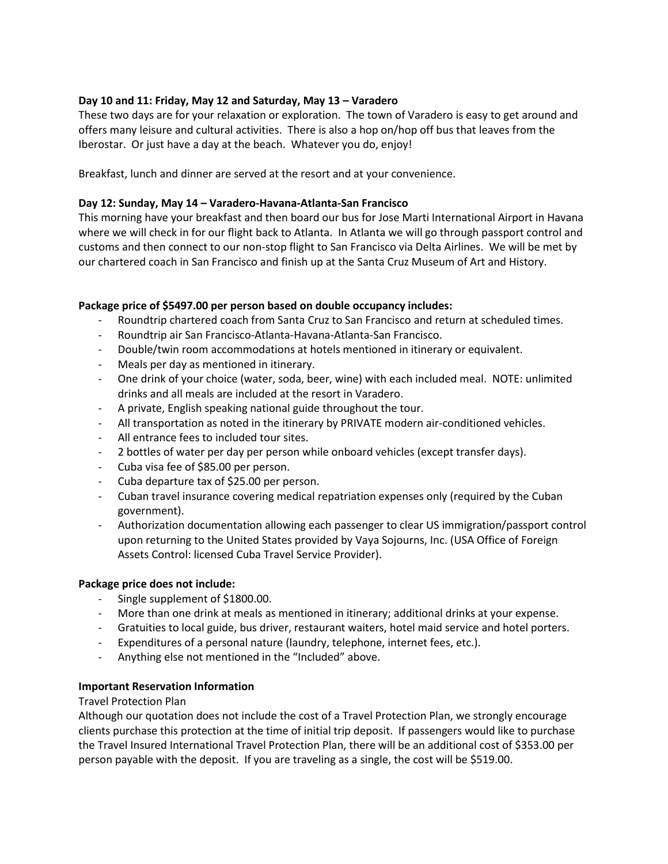# **Day 10 and 11: Friday, May 12 and Saturday, May 13 – Varadero**

These two days are for your relaxation or exploration. The town of Varadero is easy to get around and offers many leisure and cultural activities. There is also a hop on/hop off bus that leaves from the Iberostar. Or just have a day at the beach. Whatever you do, enjoy!

Breakfast, lunch and dinner are served at the resort and at your convenience.

## **Day 12: Sunday, May 14 – Varadero-Havana-Atlanta-San Francisco**

This morning have your breakfast and then board our bus for Jose Marti International Airport in Havana where we will check in for our flight back to Atlanta. In Atlanta we will go through passport control and customs and then connect to our non-stop flight to San Francisco via Delta Airlines. We will be met by our chartered coach in San Francisco and finish up at the Santa Cruz Museum of Art and History.

# **Package price of \$5497.00 per person based on double occupancy includes:**

- Roundtrip chartered coach from Santa Cruz to San Francisco and return at scheduled times.
- Roundtrip air San Francisco-Atlanta-Havana-Atlanta-San Francisco.
- Double/twin room accommodations at hotels mentioned in itinerary or equivalent.
- Meals per day as mentioned in itinerary.
- One drink of your choice (water, soda, beer, wine) with each included meal. NOTE: unlimited drinks and all meals are included at the resort in Varadero.
- A private, English speaking national guide throughout the tour.
- All transportation as noted in the itinerary by PRIVATE modern air-conditioned vehicles.
- All entrance fees to included tour sites.
- 2 bottles of water per day per person while onboard vehicles (except transfer days).
- Cuba visa fee of \$85.00 per person.
- Cuba departure tax of \$25.00 per person.
- Cuban travel insurance covering medical repatriation expenses only (required by the Cuban government).
- Authorization documentation allowing each passenger to clear US immigration/passport control upon returning to the United States provided by Vaya Sojourns, Inc. (USA Office of Foreign Assets Control: licensed Cuba Travel Service Provider).

## **Package price does not include:**

- Single supplement of \$1800.00.
- More than one drink at meals as mentioned in itinerary; additional drinks at your expense.
- Gratuities to local guide, bus driver, restaurant waiters, hotel maid service and hotel porters.
- Expenditures of a personal nature (laundry, telephone, internet fees, etc.).
- Anything else not mentioned in the "Included" above.

## **Important Reservation Information**

## Travel Protection Plan

Although our quotation does not include the cost of a Travel Protection Plan, we strongly encourage clients purchase this protection at the time of initial trip deposit. If passengers would like to purchase the Travel Insured International Travel Protection Plan, there will be an additional cost of \$353.00 per person payable with the deposit. If you are traveling as a single, the cost will be \$519.00.